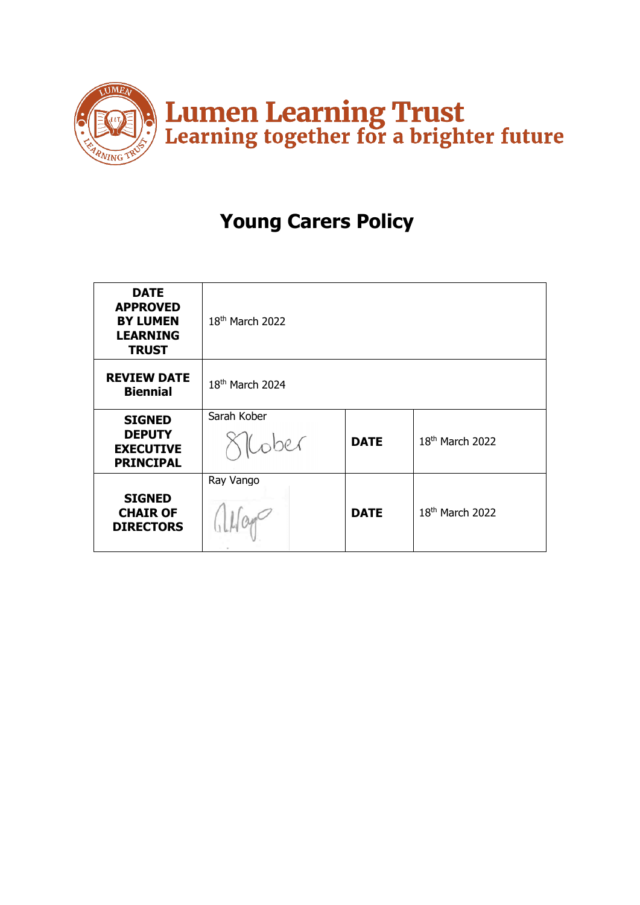

# **Young Carers Policy**

| <b>DATE</b><br><b>APPROVED</b><br><b>BY LUMEN</b><br><b>LEARNING</b><br><b>TRUST</b> | 18 <sup>th</sup> March 2022 |             |                             |
|--------------------------------------------------------------------------------------|-----------------------------|-------------|-----------------------------|
| <b>REVIEW DATE</b><br><b>Biennial</b>                                                | 18 <sup>th</sup> March 2024 |             |                             |
| <b>SIGNED</b><br><b>DEPUTY</b><br><b>EXECUTIVE</b><br><b>PRINCIPAL</b>               | Sarah Kober                 | <b>DATE</b> | 18 <sup>th</sup> March 2022 |
| <b>SIGNED</b><br><b>CHAIR OF</b><br><b>DIRECTORS</b>                                 | Ray Vango                   | <b>DATE</b> | 18 <sup>th</sup> March 2022 |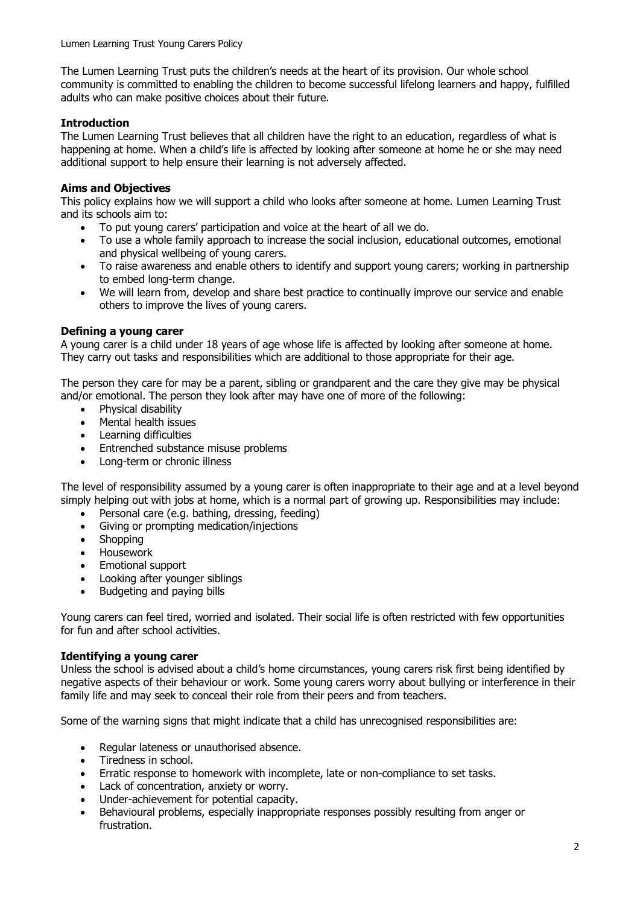The Lumen Learning Trust puts the children's needs at the heart of its provision. Our whole school community is committed to enabling the children to become successful lifelong learners and happy, fulfilled adults who can make positive choices about their future.

# **Introduction**

The Lumen Learning Trust believes that all children have the right to an education, regardless of what is happening at home. When a child's life is affected by looking after someone at home he or she may need additional support to help ensure their learning is not adversely affected.

# **Aims and Objectives**

This policy explains how we will support a child who looks after someone at home. Lumen Learning Trust and its schools aim to:

- To put young carers' participation and voice at the heart of all we do.
- To use a whole family approach to increase the social inclusion, educational outcomes, emotional and physical wellbeing of young carers.
- To raise awareness and enable others to identify and support young carers; working in partnership to embed long-term change.
- We will learn from, develop and share best practice to continually improve our service and enable others to improve the lives of young carers.

## **Defining a young carer**

A young carer is a child under 18 years of age whose life is affected by looking after someone at home. They carry out tasks and responsibilities which are additional to those appropriate for their age.

The person they care for may be a parent, sibling or grandparent and the care they give may be physical and/or emotional. The person they look after may have one of more of the following:

- Physical disability
- Mental health issues
- Learning difficulties
- Entrenched substance misuse problems
- Long-term or chronic illness

The level of responsibility assumed by a young carer is often inappropriate to their age and at a level beyond simply helping out with jobs at home, which is a normal part of growing up. Responsibilities may include:

- Personal care (e.g. bathing, dressing, feeding)
- Giving or prompting medication/injections
- Shopping
- Housework
- Emotional support
- Looking after younger siblings
- Budgeting and paying bills

Young carers can feel tired, worried and isolated. Their social life is often restricted with few opportunities for fun and after school activities.

#### **Identifying a young carer**

Unless the school is advised about a child's home circumstances, young carers risk first being identified by negative aspects of their behaviour or work. Some young carers worry about bullying or interference in their family life and may seek to conceal their role from their peers and from teachers.

Some of the warning signs that might indicate that a child has unrecognised responsibilities are:

- Regular lateness or unauthorised absence.
- Tiredness in school.
- Erratic response to homework with incomplete, late or non-compliance to set tasks.
- Lack of concentration, anxiety or worry.
- Under-achievement for potential capacity.
- Behavioural problems, especially inappropriate responses possibly resulting from anger or frustration.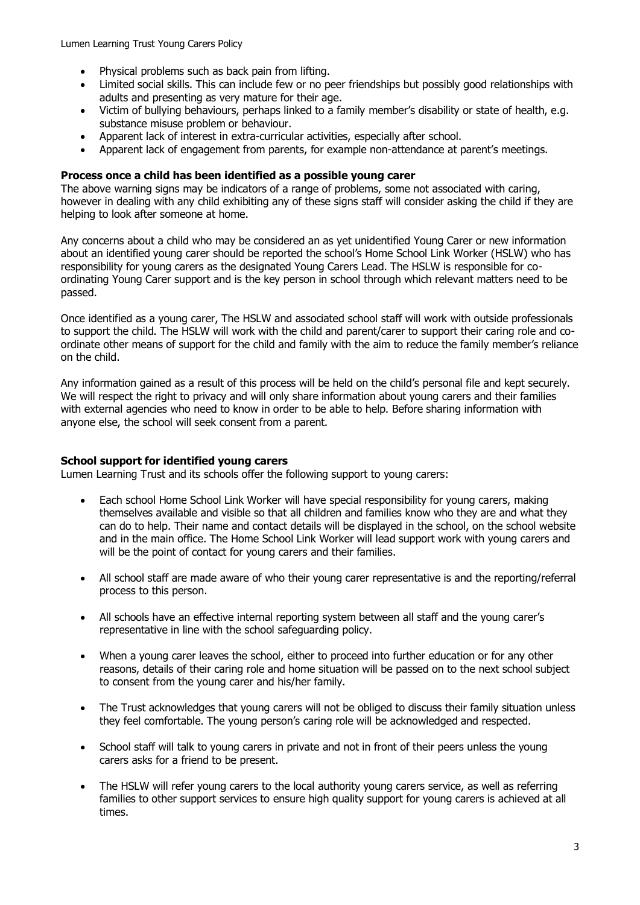Lumen Learning Trust Young Carers Policy

- Physical problems such as back pain from lifting.
- Limited social skills. This can include few or no peer friendships but possibly good relationships with adults and presenting as very mature for their age.
- Victim of bullying behaviours, perhaps linked to a family member's disability or state of health, e.g. substance misuse problem or behaviour.
- Apparent lack of interest in extra-curricular activities, especially after school.
- Apparent lack of engagement from parents, for example non-attendance at parent's meetings.

## **Process once a child has been identified as a possible young carer**

The above warning signs may be indicators of a range of problems, some not associated with caring, however in dealing with any child exhibiting any of these signs staff will consider asking the child if they are helping to look after someone at home.

Any concerns about a child who may be considered an as yet unidentified Young Carer or new information about an identified young carer should be reported the school's Home School Link Worker (HSLW) who has responsibility for young carers as the designated Young Carers Lead. The HSLW is responsible for coordinating Young Carer support and is the key person in school through which relevant matters need to be passed.

Once identified as a young carer, The HSLW and associated school staff will work with outside professionals to support the child. The HSLW will work with the child and parent/carer to support their caring role and coordinate other means of support for the child and family with the aim to reduce the family member's reliance on the child.

Any information gained as a result of this process will be held on the child's personal file and kept securely. We will respect the right to privacy and will only share information about young carers and their families with external agencies who need to know in order to be able to help. Before sharing information with anyone else, the school will seek consent from a parent.

#### **School support for identified young carers**

Lumen Learning Trust and its schools offer the following support to young carers:

- Each school Home School Link Worker will have special responsibility for young carers, making themselves available and visible so that all children and families know who they are and what they can do to help. Their name and contact details will be displayed in the school, on the school website and in the main office. The Home School Link Worker will lead support work with young carers and will be the point of contact for young carers and their families.
- All school staff are made aware of who their young carer representative is and the reporting/referral process to this person.
- All schools have an effective internal reporting system between all staff and the young carer's representative in line with the school safeguarding policy.
- When a young carer leaves the school, either to proceed into further education or for any other reasons, details of their caring role and home situation will be passed on to the next school subject to consent from the young carer and his/her family.
- The Trust acknowledges that young carers will not be obliged to discuss their family situation unless they feel comfortable. The young person's caring role will be acknowledged and respected.
- School staff will talk to young carers in private and not in front of their peers unless the young carers asks for a friend to be present.
- The HSLW will refer young carers to the local authority young carers service, as well as referring families to other support services to ensure high quality support for young carers is achieved at all times.